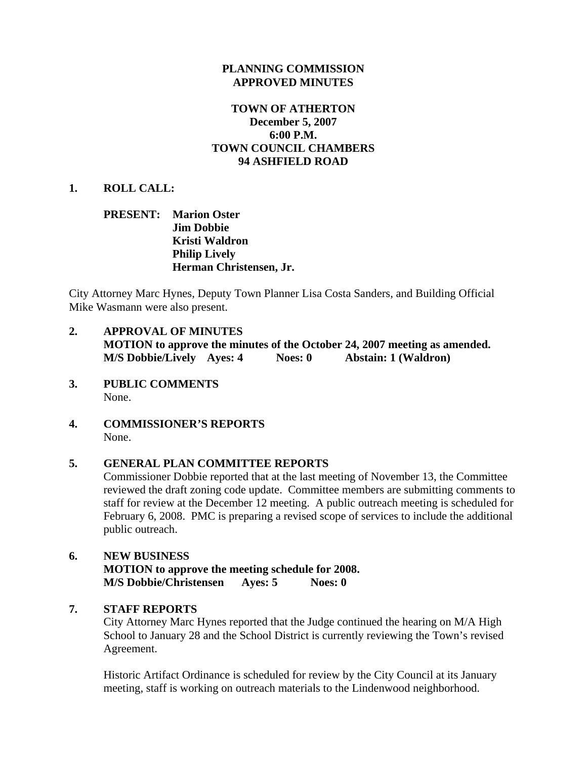#### **PLANNING COMMISSION APPROVED MINUTES**

## **TOWN OF ATHERTON December 5, 2007 6:00 P.M. TOWN COUNCIL CHAMBERS 94 ASHFIELD ROAD**

#### **1. ROLL CALL:**

### **PRESENT: Marion Oster Jim Dobbie Kristi Waldron Philip Lively Herman Christensen, Jr.**

City Attorney Marc Hynes, Deputy Town Planner Lisa Costa Sanders, and Building Official Mike Wasmann were also present.

- **2. APPROVAL OF MINUTES MOTION to approve the minutes of the October 24, 2007 meeting as amended. M/S Dobbie/Lively Ayes: 4 Noes: 0 Abstain: 1 (Waldron)**
- **3. PUBLIC COMMENTS**  None.
- **4. COMMISSIONER'S REPORTS**  None.

#### **5. GENERAL PLAN COMMITTEE REPORTS**

Commissioner Dobbie reported that at the last meeting of November 13, the Committee reviewed the draft zoning code update. Committee members are submitting comments to staff for review at the December 12 meeting. A public outreach meeting is scheduled for February 6, 2008. PMC is preparing a revised scope of services to include the additional public outreach.

# **6. NEW BUSINESS MOTION to approve the meeting schedule for 2008. M/S Dobbie/Christensen Ayes: 5 Noes: 0**

#### **7. STAFF REPORTS**

City Attorney Marc Hynes reported that the Judge continued the hearing on M/A High School to January 28 and the School District is currently reviewing the Town's revised Agreement.

Historic Artifact Ordinance is scheduled for review by the City Council at its January meeting, staff is working on outreach materials to the Lindenwood neighborhood.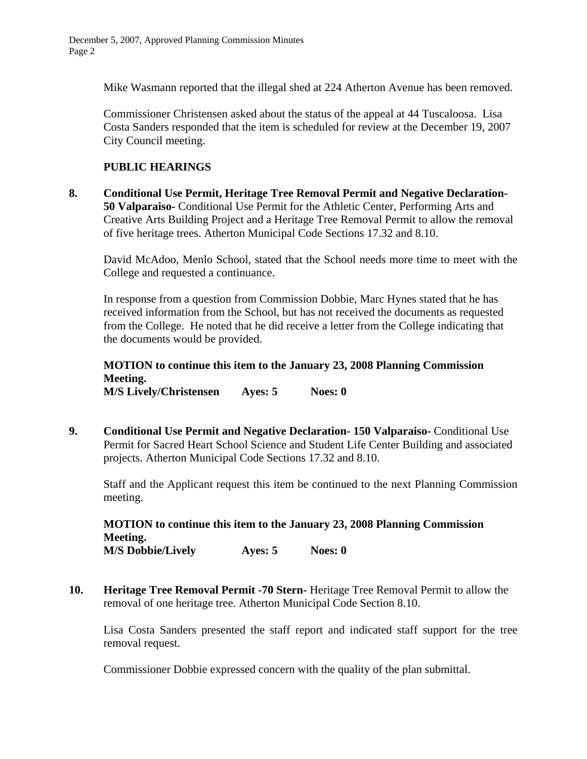Mike Wasmann reported that the illegal shed at 224 Atherton Avenue has been removed.

Commissioner Christensen asked about the status of the appeal at 44 Tuscaloosa. Lisa Costa Sanders responded that the item is scheduled for review at the December 19, 2007 City Council meeting.

# **PUBLIC HEARINGS**

**8. Conditional Use Permit, Heritage Tree Removal Permit and Negative Declaration-50 Valparaiso-** Conditional Use Permit for the Athletic Center, Performing Arts and Creative Arts Building Project and a Heritage Tree Removal Permit to allow the removal of five heritage trees. Atherton Municipal Code Sections 17.32 and 8.10.

David McAdoo, Menlo School, stated that the School needs more time to meet with the College and requested a continuance.

In response from a question from Commission Dobbie, Marc Hynes stated that he has received information from the School, but has not received the documents as requested from the College. He noted that he did receive a letter from the College indicating that the documents would be provided.

**MOTION to continue this item to the January 23, 2008 Planning Commission Meeting. M/S Lively/Christensen Ayes: 5 Noes: 0** 

**9. Conditional Use Permit and Negative Declaration- 150 Valparaiso-** Conditional Use Permit for Sacred Heart School Science and Student Life Center Building and associated projects. Atherton Municipal Code Sections 17.32 and 8.10.

Staff and the Applicant request this item be continued to the next Planning Commission meeting.

**MOTION to continue this item to the January 23, 2008 Planning Commission Meeting. M/S Dobbie/Lively Ayes: 5 Noes: 0** 

**10. Heritage Tree Removal Permit -70 Stern-** Heritage Tree Removal Permit to allow the removal of one heritage tree. Atherton Municipal Code Section 8.10.

Lisa Costa Sanders presented the staff report and indicated staff support for the tree removal request.

Commissioner Dobbie expressed concern with the quality of the plan submittal.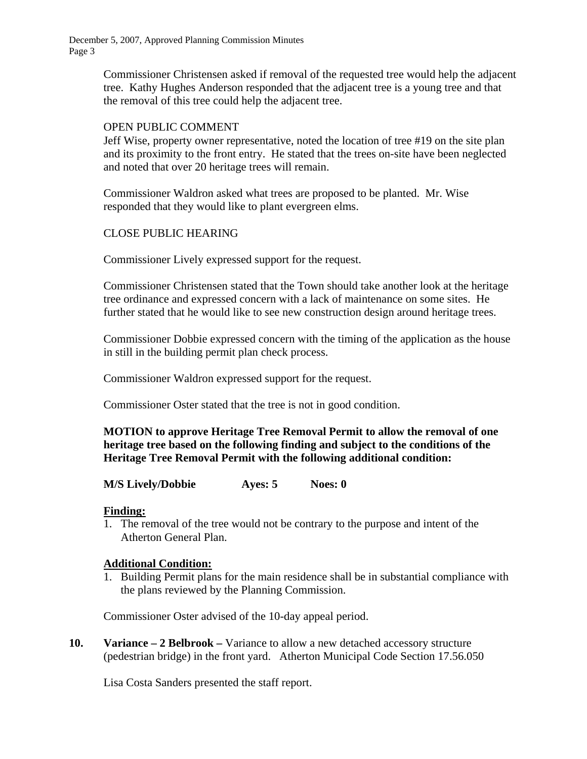December 5, 2007, Approved Planning Commission Minutes Page 3

> Commissioner Christensen asked if removal of the requested tree would help the adjacent tree. Kathy Hughes Anderson responded that the adjacent tree is a young tree and that the removal of this tree could help the adjacent tree.

#### OPEN PUBLIC COMMENT

Jeff Wise, property owner representative, noted the location of tree #19 on the site plan and its proximity to the front entry. He stated that the trees on-site have been neglected and noted that over 20 heritage trees will remain.

Commissioner Waldron asked what trees are proposed to be planted. Mr. Wise responded that they would like to plant evergreen elms.

## CLOSE PUBLIC HEARING

Commissioner Lively expressed support for the request.

Commissioner Christensen stated that the Town should take another look at the heritage tree ordinance and expressed concern with a lack of maintenance on some sites. He further stated that he would like to see new construction design around heritage trees.

Commissioner Dobbie expressed concern with the timing of the application as the house in still in the building permit plan check process.

Commissioner Waldron expressed support for the request.

Commissioner Oster stated that the tree is not in good condition.

**MOTION to approve Heritage Tree Removal Permit to allow the removal of one heritage tree based on the following finding and subject to the conditions of the Heritage Tree Removal Permit with the following additional condition:** 

#### **M/S Lively/Dobbie Ayes: 5 Noes: 0**

#### **Finding:**

1. The removal of the tree would not be contrary to the purpose and intent of the Atherton General Plan.

#### **Additional Condition:**

1. Building Permit plans for the main residence shall be in substantial compliance with the plans reviewed by the Planning Commission.

Commissioner Oster advised of the 10-day appeal period.

**10. Variance – 2 Belbrook –** Variance to allow a new detached accessory structure (pedestrian bridge) in the front yard. Atherton Municipal Code Section 17.56.050

Lisa Costa Sanders presented the staff report.